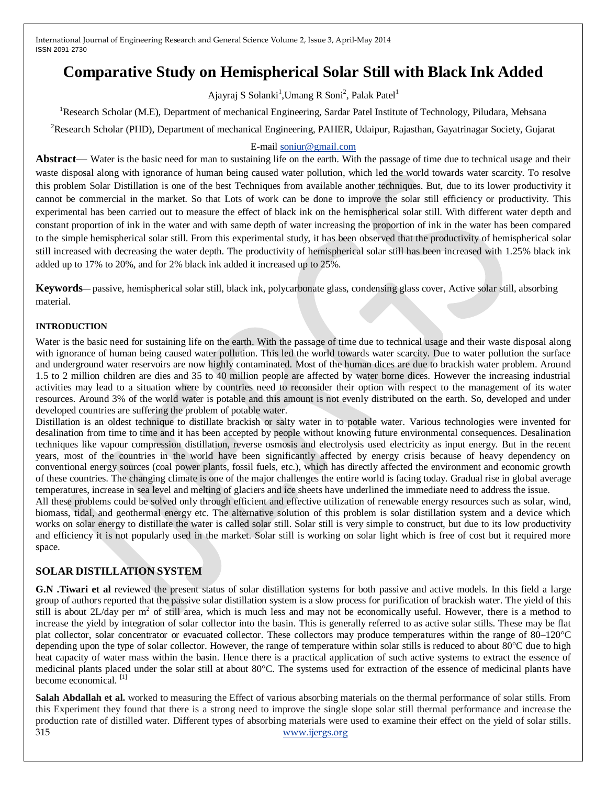# **Comparative Study on Hemispherical Solar Still with Black Ink Added**

Ajayraj S Solanki<sup>1</sup>, Umang R Soni<sup>2</sup>, Palak Patel<sup>1</sup>

<sup>1</sup>Research Scholar (M.E), Department of mechanical Engineering, Sardar Patel Institute of Technology, Piludara, Mehsana <sup>2</sup>Research Scholar (PHD), Department of mechanical Engineering, PAHER, Udaipur, Rajasthan, Gayatrinagar Society, Gujarat

## E-mai[l soniur@gmail.com](mailto:soniur@gmail.com)

**Abstract**— Water is the basic need for man to sustaining life on the earth. With the passage of time due to technical usage and their waste disposal along with ignorance of human being caused water pollution, which led the world towards water scarcity. To resolve this problem Solar Distillation is one of the best Techniques from available another techniques. But, due to its lower productivity it cannot be commercial in the market. So that Lots of work can be done to improve the solar still efficiency or productivity. This experimental has been carried out to measure the effect of black ink on the hemispherical solar still. With different water depth and constant proportion of ink in the water and with same depth of water increasing the proportion of ink in the water has been compared to the simple hemispherical solar still. From this experimental study, it has been observed that the productivity of hemispherical solar still increased with decreasing the water depth. The productivity of hemispherical solar still has been increased with 1.25% black ink added up to 17% to 20%, and for 2% black ink added it increased up to 25%.

**Keywords**— passive, hemispherical solar still, black ink, polycarbonate glass, condensing glass cover, Active solar still, absorbing material.

## **INTRODUCTION**

Water is the basic need for sustaining life on the earth. With the passage of time due to technical usage and their waste disposal along with ignorance of human being caused water pollution. This led the world towards water scarcity. Due to water pollution the surface and underground water reservoirs are now highly contaminated. Most of the human dices are due to brackish water problem. Around 1.5 to 2 million children are dies and 35 to 40 million people are affected by water borne dices. However the increasing industrial activities may lead to a situation where by countries need to reconsider their option with respect to the management of its water resources. Around 3% of the world water is potable and this amount is not evenly distributed on the earth. So, developed and under developed countries are suffering the problem of potable water.

Distillation is an oldest technique to distillate brackish or salty water in to potable water. Various technologies were invented for desalination from time to time and it has been accepted by people without knowing future environmental consequences. Desalination techniques like vapour compression distillation, reverse osmosis and electrolysis used electricity as input energy. But in the recent years, most of the countries in the world have been significantly affected by energy crisis because of heavy dependency on conventional energy sources (coal power plants, fossil fuels, etc.), which has directly affected the environment and economic growth of these countries. The changing climate is one of the major challenges the entire world is facing today. Gradual rise in global average temperatures, increase in sea level and melting of glaciers and ice sheets have underlined the immediate need to address the issue.

All these problems could be solved only through efficient and effective utilization of renewable energy resources such as solar, wind, biomass, tidal, and geothermal energy etc. The alternative solution of this problem is solar distillation system and a device which works on solar energy to distillate the water is called solar still. Solar still is very simple to construct, but due to its low productivity and efficiency it is not popularly used in the market. Solar still is working on solar light which is free of cost but it required more space.

## **SOLAR DISTILLATION SYSTEM**

**G.N .Tiwari et al** reviewed the present status of solar distillation systems for both passive and active models. In this field a large group of authors reported that the passive solar distillation system is a slow process for purification of brackish water. The yield of this still is about 2L/day per  $m^2$  of still area, which is much less and may not be economically useful. However, there is a method to increase the yield by integration of solar collector into the basin. This is generally referred to as active solar stills. These may be flat plat collector, solar concentrator or evacuated collector. These collectors may produce temperatures within the range of 80–120°C depending upon the type of solar collector. However, the range of temperature within solar stills is reduced to about 80°C due to high heat capacity of water mass within the basin. Hence there is a practical application of such active systems to extract the essence of medicinal plants placed under the solar still at about 80°C. The systems used for extraction of the essence of medicinal plants have become economical. <sup>[1]</sup>

315 [www.ijergs.org](http://www.ijergs.org/) **Salah Abdallah et al.** worked to measuring the Effect of various absorbing materials on the thermal performance of solar stills. From this Experiment they found that there is a strong need to improve the single slope solar still thermal performance and increase the production rate of distilled water. Different types of absorbing materials were used to examine their effect on the yield of solar stills.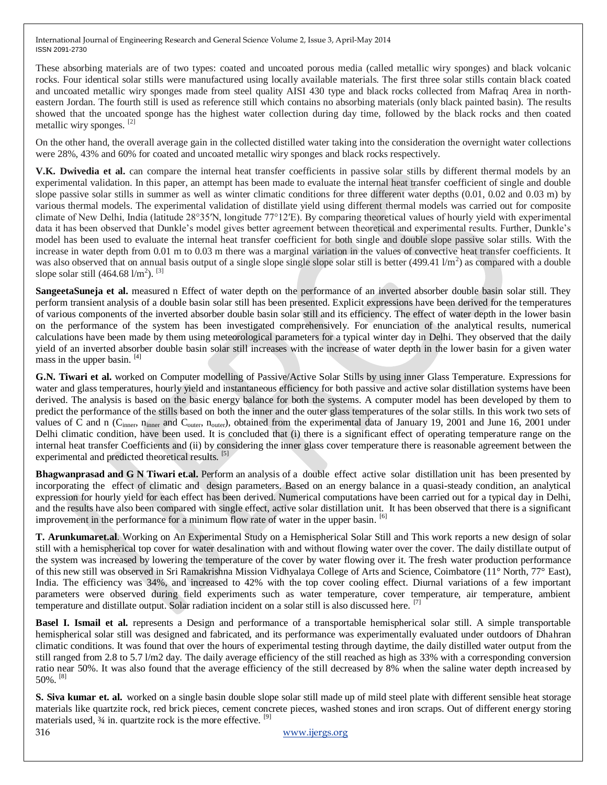These absorbing materials are of two types: coated and uncoated porous media (called metallic wiry sponges) and black volcanic rocks. Four identical solar stills were manufactured using locally available materials. The first three solar stills contain black coated and uncoated metallic wiry sponges made from steel quality AISI 430 type and black rocks collected from Mafraq Area in northeastern Jordan. The fourth still is used as reference still which contains no absorbing materials (only black painted basin). The results showed that the uncoated sponge has the highest water collection during day time, followed by the black rocks and then coated metallic wiry sponges. [2]

On the other hand, the overall average gain in the collected distilled water taking into the consideration the overnight water collections were 28%, 43% and 60% for coated and uncoated metallic wiry sponges and black rocks respectively.

**V.K. Dwivedia et al.** can compare the internal heat transfer coefficients in passive solar stills by different thermal models by an experimental validation. In this paper, an attempt has been made to evaluate the internal heat transfer coefficient of single and double slope passive solar stills in summer as well as winter climatic conditions for three different water depths (0.01, 0.02 and 0.03 m) by various thermal models. The experimental validation of distillate yield using different thermal models was carried out for composite climate of New Delhi, India (latitude 28°35′N, longitude 77°12′E). By comparing theoretical values of hourly yield with experimental data it has been observed that Dunkle's model gives better agreement between theoretical and experimental results. Further, Dunkle's model has been used to evaluate the internal heat transfer coefficient for both single and double slope passive solar stills. With the increase in water depth from 0.01 m to 0.03 m there was a marginal variation in the values of convective heat transfer coefficients. It was also observed that on annual basis output of a single slope single slope solar still is better  $(499.41 \text{ J/m}^2)$  as compared with a double slope solar still  $(464.68 \frac{\text{1}}{\text{m}^2})$ . <sup>[3]</sup>

**SangeetaSuneja et al.** measured n Effect of water depth on the performance of an inverted absorber double basin solar still. They perform transient analysis of a double basin solar still has been presented. Explicit expressions have been derived for the temperatures of various components of the inverted absorber double basin solar still and its efficiency. The effect of water depth in the lower basin on the performance of the system has been investigated comprehensively. For enunciation of the analytical results, numerical calculations have been made by them using meteorological parameters for a typical winter day in Delhi. They observed that the daily yield of an inverted absorber double basin solar still increases with the increase of water depth in the lower basin for a given water mass in the upper basin. [4]

**G.N. Tiwari et al.** worked on Computer modelling of Passive/Active Solar Stills by using inner Glass Temperature. Expressions for water and glass temperatures, hourly yield and instantaneous efficiency for both passive and active solar distillation systems have been derived. The analysis is based on the basic energy balance for both the systems. A computer model has been developed by them to predict the performance of the stills based on both the inner and the outer glass temperatures of the solar stills. In this work two sets of values of C and n ( $C_{inner}$ , n<sub>inner</sub> and  $C_{outer}$ , n<sub>outer</sub>), obtained from the experimental data of January 19, 2001 and June 16, 2001 under Delhi climatic condition, have been used. It is concluded that (i) there is a significant effect of operating temperature range on the internal heat transfer Coefficients and (ii) by considering the inner glass cover temperature there is reasonable agreement between the experimental and predicted theoretical results. [5]

**Bhagwanprasad and G N Tiwari et.al.** Perform an analysis of a double effect active solar distillation unit has been presented by incorporating the effect of climatic and design parameters. Based on an energy balance in a quasi-steady condition, an analytical expression for hourly yield for each effect has been derived. Numerical computations have been carried out for a typical day in Delhi, and the results have also been compared with single effect, active solar distillation unit. It has been observed that there is a significant improvement in the performance for a minimum flow rate of water in the upper basin. <sup>[6]</sup>

**T. Arunkumaret.al**. Working on An Experimental Study on a Hemispherical Solar Still and This work reports a new design of solar still with a hemispherical top cover for water desalination with and without flowing water over the cover. The daily distillate output of the system was increased by lowering the temperature of the cover by water flowing over it. The fresh water production performance of this new still was observed in Sri Ramakrishna Mission Vidhyalaya College of Arts and Science, Coimbatore (11° North, 77° East), India. The efficiency was 34%, and increased to 42% with the top cover cooling effect. Diurnal variations of a few important parameters were observed during field experiments such as water temperature, cover temperature, air temperature, ambient temperature and distillate output. Solar radiation incident on a solar still is also discussed here. [7]

**Basel I. Ismail et al.** represents a Design and performance of a transportable hemispherical solar still. A simple transportable hemispherical solar still was designed and fabricated, and its performance was experimentally evaluated under outdoors of Dhahran climatic conditions. It was found that over the hours of experimental testing through daytime, the daily distilled water output from the still ranged from 2.8 to 5.7 l/m2 day. The daily average efficiency of the still reached as high as 33% with a corresponding conversion ratio near 50%. It was also found that the average efficiency of the still decreased by 8% when the saline water depth increased by 50%. [8]

**S. Siva kumar et. al.** worked on a single basin double slope solar still made up of mild steel plate with different sensible heat storage materials like quartzite rock, red brick pieces, cement concrete pieces, washed stones and iron scraps. Out of different energy storing materials used,  $\frac{3}{4}$  in. quartzite rock is the more effective.  $^{[9]}$ 

316 [www.ijergs.org](http://www.ijergs.org/)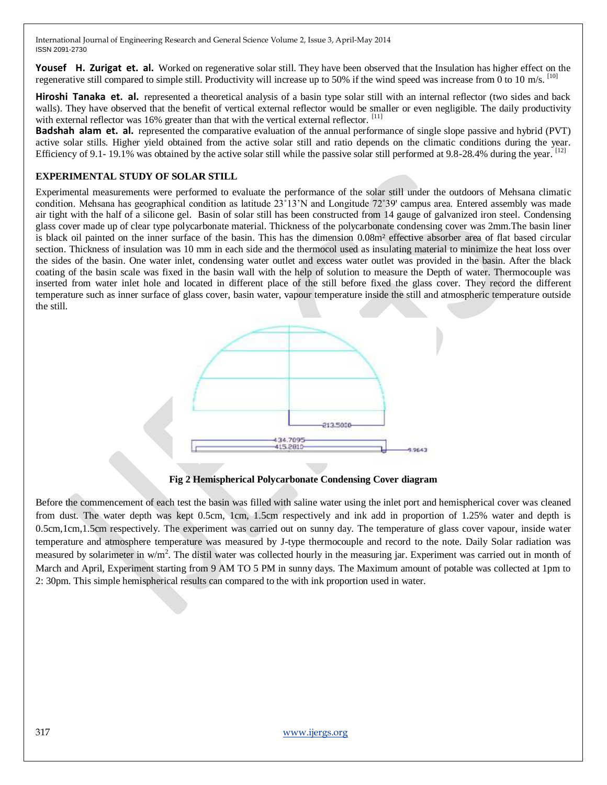**Yousef H. Zurigat et. al.** Worked on regenerative solar still. They have been observed that the Insulation has higher effect on the regenerative still compared to simple still. Productivity will increase up to 50% if the wind speed was increase from 0 to 10 m/s.  $^{[10]}$ 

**Hiroshi Tanaka et. al.** represented a theoretical analysis of a basin type solar still with an internal reflector (two sides and back walls). They have observed that the benefit of vertical external reflector would be smaller or even negligible. The daily productivity with external reflector was 16% greater than that with the vertical external reflector. [11]

**Badshah alam et. al.** represented the comparative evaluation of the annual performance of single slope passive and hybrid (PVT) active solar stills. Higher yield obtained from the active solar still and ratio depends on the climatic conditions during the year. Efficiency of 9.1- 19.1% was obtained by the active solar still while the passive solar still performed at 9.8-28.4% during the year. <sup>[12]</sup>

### **EXPERIMENTAL STUDY OF SOLAR STILL**

Experimental measurements were performed to evaluate the performance of the solar still under the outdoors of Mehsana climatic condition. Mehsana has geographical condition as latitude 23˚13'N and Longitude 72˚39' campus area. Entered assembly was made air tight with the half of a silicone gel. Basin of solar still has been constructed from 14 gauge of galvanized iron steel. Condensing glass cover made up of clear type polycarbonate material. Thickness of the polycarbonate condensing cover was 2mm.The basin liner is black oil painted on the inner surface of the basin. This has the dimension 0.08m² effective absorber area of flat based circular section. Thickness of insulation was 10 mm in each side and the thermocol used as insulating material to minimize the heat loss over the sides of the basin. One water inlet, condensing water outlet and excess water outlet was provided in the basin. After the black coating of the basin scale was fixed in the basin wall with the help of solution to measure the Depth of water. Thermocouple was inserted from water inlet hole and located in different place of the still before fixed the glass cover. They record the different temperature such as inner surface of glass cover, basin water, vapour temperature inside the still and atmospheric temperature outside the still.



**Fig 2 Hemispherical Polycarbonate Condensing Cover diagram**

Before the commencement of each test the basin was filled with saline water using the inlet port and hemispherical cover was cleaned from dust. The water depth was kept 0.5cm, 1cm, 1.5cm respectively and ink add in proportion of 1.25% water and depth is 0.5cm,1cm,1.5cm respectively. The experiment was carried out on sunny day. The temperature of glass cover vapour, inside water temperature and atmosphere temperature was measured by J-type thermocouple and record to the note. Daily Solar radiation was measured by solarimeter in w/m<sup>2</sup>. The distil water was collected hourly in the measuring jar. Experiment was carried out in month of March and April, Experiment starting from 9 AM TO 5 PM in sunny days. The Maximum amount of potable was collected at 1pm to 2: 30pm. This simple hemispherical results can compared to the with ink proportion used in water.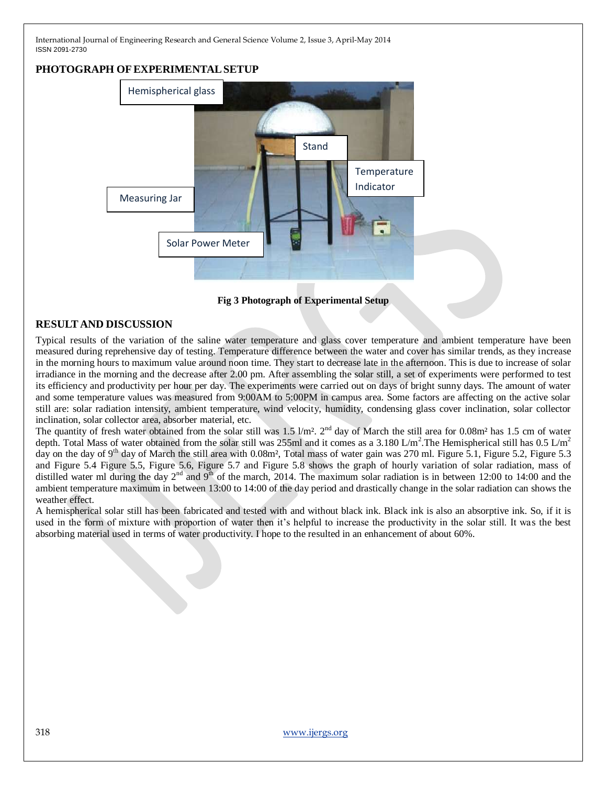# **PHOTOGRAPH OFEXPERIMENTALSETUP**



**Fig 3 Photograph of Experimental Setup**

# **RESULT AND DISCUSSION**

Typical results of the variation of the saline water temperature and glass cover temperature and ambient temperature have been measured during reprehensive day of testing. Temperature difference between the water and cover has similar trends, as they increase in the morning hours to maximum value around noon time. They start to decrease late in the afternoon. This is due to increase of solar irradiance in the morning and the decrease after 2.00 pm. After assembling the solar still, a set of experiments were performed to test its efficiency and productivity per hour per day. The experiments were carried out on days of bright sunny days. The amount of water and some temperature values was measured from 9:00AM to 5:00PM in campus area. Some factors are affecting on the active solar still are: solar radiation intensity, ambient temperature, wind velocity, humidity, condensing glass cover inclination, solar collector inclination, solar collector area, absorber material, etc.

The quantity of fresh water obtained from the solar still was  $1.5 \text{ Vm}^2$ .  $2^{\text{nd}}$  day of March the still area for 0.08m<sup>2</sup> has 1.5 cm of water depth. Total Mass of water obtained from the solar still was 255ml and it comes as a 3.180 L/m<sup>2</sup>. The Hemispherical still has 0.5 L/m<sup>2</sup> day on the day of 9<sup>th</sup> day of March the still area with 0.08m<sup>2</sup>, Total mass of water gain was 270 ml. Figure 5.1, Figure 5.2, Figure 5.3 and Figure 5.4 Figure 5.5, Figure 5.6, Figure 5.7 and Figure 5.8 shows the graph of hourly variation of solar radiation, mass of distilled water ml during the day  $2<sup>nd</sup>$  and  $9<sup>th</sup>$  of the march, 2014. The maximum solar radiation is in between 12:00 to 14:00 and the ambient temperature maximum in between 13:00 to 14:00 of the day period and drastically change in the solar radiation can shows the weather effect.

A hemispherical solar still has been fabricated and tested with and without black ink. Black ink is also an absorptive ink. So, if it is used in the form of mixture with proportion of water then it's helpful to increase the productivity in the solar still. It was the best absorbing material used in terms of water productivity. I hope to the resulted in an enhancement of about 60%.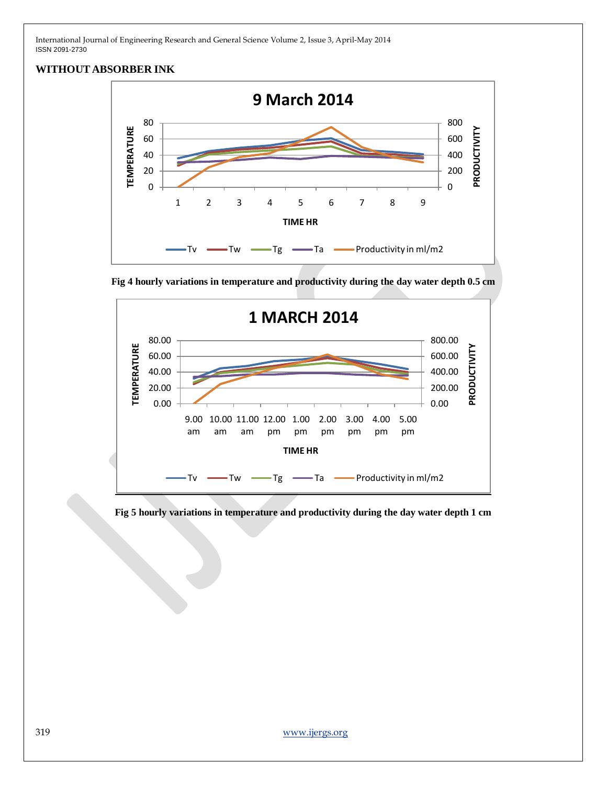## **WITHOUT ABSORBER INK**



**Fig 4 hourly variations in temperature and productivity during the day water depth 0.5 cm**



**Fig 5 hourly variations in temperature and productivity during the day water depth 1 cm**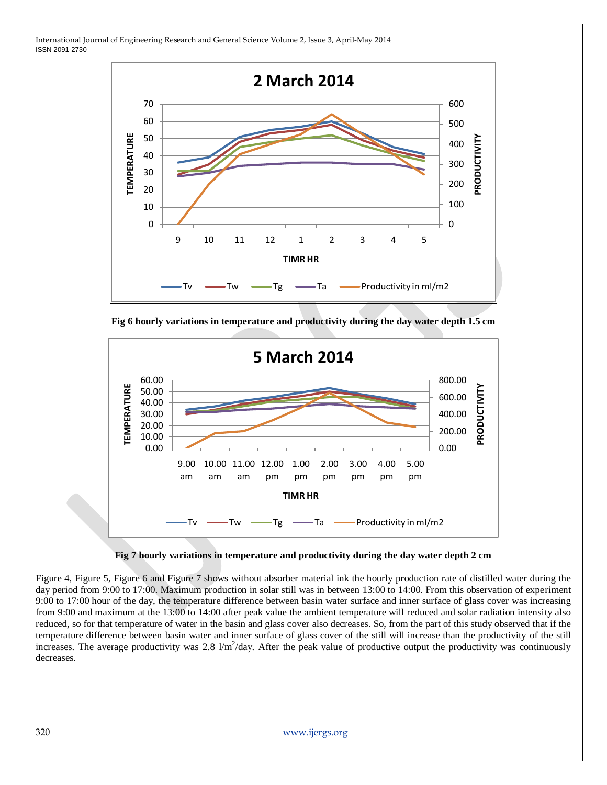

**Fig 6 hourly variations in temperature and productivity during the day water depth 1.5 cm**



**Fig 7 hourly variations in temperature and productivity during the day water depth 2 cm**

Figure 4, Figure 5, Figure 6 and Figure 7 shows without absorber material ink the hourly production rate of distilled water during the day period from 9:00 to 17:00. Maximum production in solar still was in between 13:00 to 14:00. From this observation of experiment 9:00 to 17:00 hour of the day, the temperature difference between basin water surface and inner surface of glass cover was increasing from 9:00 and maximum at the 13:00 to 14:00 after peak value the ambient temperature will reduced and solar radiation intensity also reduced, so for that temperature of water in the basin and glass cover also decreases. So, from the part of this study observed that if the temperature difference between basin water and inner surface of glass cover of the still will increase than the productivity of the still increases. The average productivity was  $2.8 \text{ }\mu\text{m}^2/\text{day}$ . After the peak value of productive output the productivity was continuously decreases.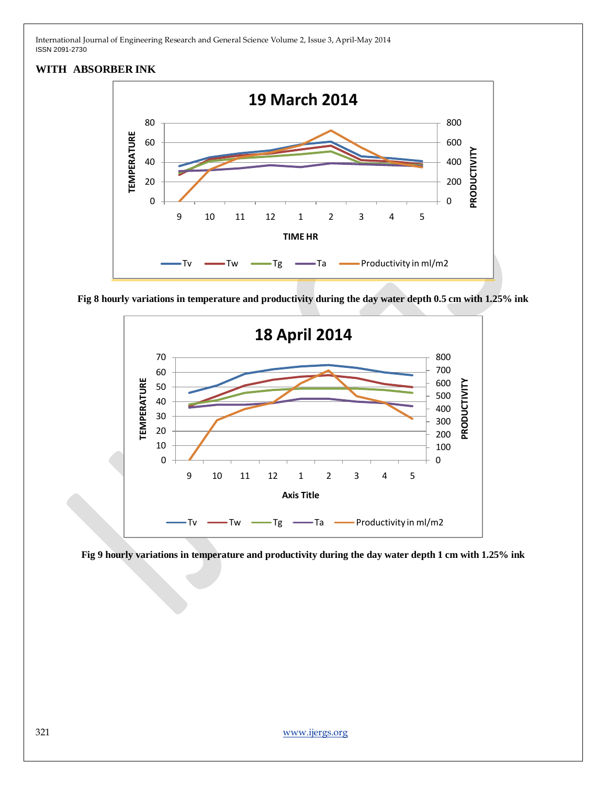## **WITH ABSORBER INK**



**Fig 8 hourly variations in temperature and productivity during the day water depth 0.5 cm with 1.25% ink**



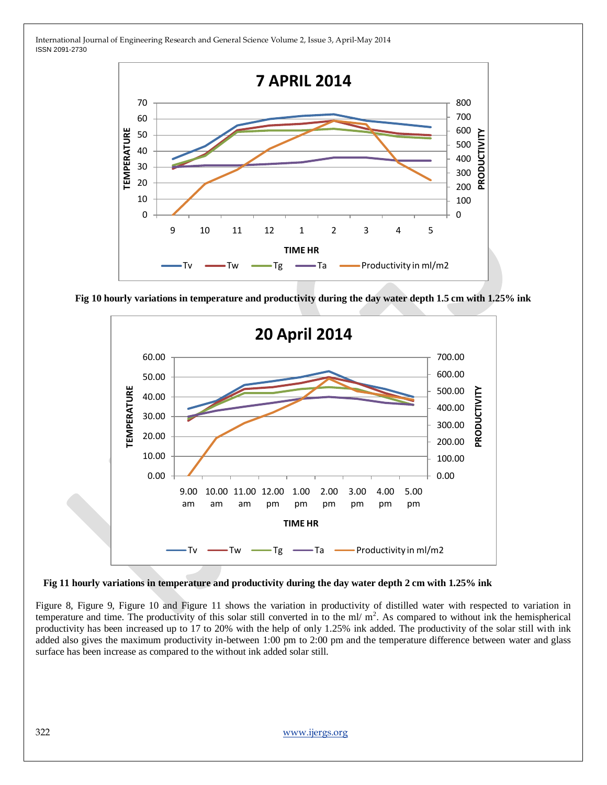

**Fig 10 hourly variations in temperature and productivity during the day water depth 1.5 cm with 1.25% ink**



#### **Fig 11 hourly variations in temperature and productivity during the day water depth 2 cm with 1.25% ink**

Figure 8, Figure 9, Figure 10 and Figure 11 shows the variation in productivity of distilled water with respected to variation in temperature and time. The productivity of this solar still converted in to the ml/ $m<sup>2</sup>$ . As compared to without ink the hemispherical productivity has been increased up to 17 to 20% with the help of only 1.25% ink added. The productivity of the solar still with ink added also gives the maximum productivity in-between 1:00 pm to 2:00 pm and the temperature difference between water and glass surface has been increase as compared to the without ink added solar still.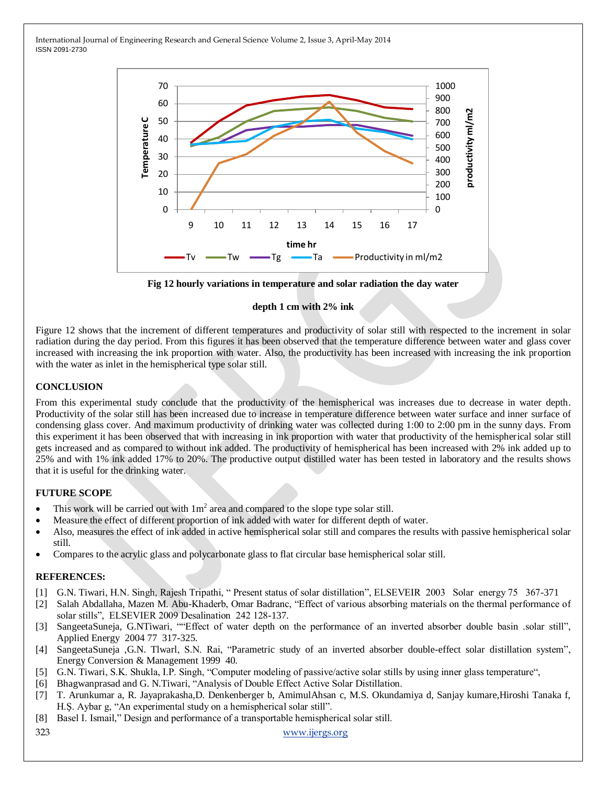

**Fig 12 hourly variations in temperature and solar radiation the day water** 

#### **depth 1 cm with 2% ink**

Figure 12 shows that the increment of different temperatures and productivity of solar still with respected to the increment in solar radiation during the day period. From this figures it has been observed that the temperature difference between water and glass cover increased with increasing the ink proportion with water. Also, the productivity has been increased with increasing the ink proportion with the water as inlet in the hemispherical type solar still.

#### **CONCLUSION**

From this experimental study conclude that the productivity of the hemispherical was increases due to decrease in water depth. Productivity of the solar still has been increased due to increase in temperature difference between water surface and inner surface of condensing glass cover. And maximum productivity of drinking water was collected during 1:00 to 2:00 pm in the sunny days. From this experiment it has been observed that with increasing in ink proportion with water that productivity of the hemispherical solar still gets increased and as compared to without ink added. The productivity of hemispherical has been increased with 2% ink added up to 25% and with 1% ink added 17% to 20%. The productive output distilled water has been tested in laboratory and the results shows that it is useful for the drinking water.

#### **FUTURE SCOPE**

- This work will be carried out with  $1m^2$  area and compared to the slope type solar still.
- Measure the effect of different proportion of ink added with water for different depth of water.
- Also, measures the effect of ink added in active hemispherical solar still and compares the results with passive hemispherical solar still.
- Compares to the acrylic glass and polycarbonate glass to flat circular base hemispherical solar still.

#### **REFERENCES:**

- [1] G.N. Tiwari, H.N. Singh, Rajesh Tripathi, "Present status of solar distillation", ELSEVEIR 2003 Solar energy 75 367-371
- [2] Salah Abdallaha, Mazen M. Abu-Khaderb, Omar Badranc, "Effect of various absorbing materials on the thermal performance of solar stills", ELSEVIER 2009 Desalination 242 128-137.
- [3] SangeetaSuneja, G.NTiwari, ""Effect of water depth on the performance of an inverted absorber double basin .solar still", Applied Energy 2004 77 317-325.
- [4] SangeetaSuneja ,G.N. Tlwarl, S.N. Rai, "Parametric study of an inverted absorber double-effect solar distillation system", Energy Conversion & Management 1999 40.
- [5] G.N. Tiwari, S.K. Shukla, I.P. Singh, "Computer modeling of passive/active solar stills by using inner glass temperature",
- [6] Bhagwanprasad and G. N. Tiwari, "Analysis of Double Effect Active Solar Distillation.
- [7] T. Arunkumar a, R. Jayaprakasha,D. Denkenberger b, AmimulAhsan c, M.S. Okundamiya d, Sanjay kumare,Hiroshi Tanaka f, H.Ş. Aybar g, "An experimental study on a hemispherical solar still".
- [8] Basel I. Ismail," Design and performance of a transportable hemispherical solar still.

323 [www.ijergs.org](http://www.ijergs.org/)